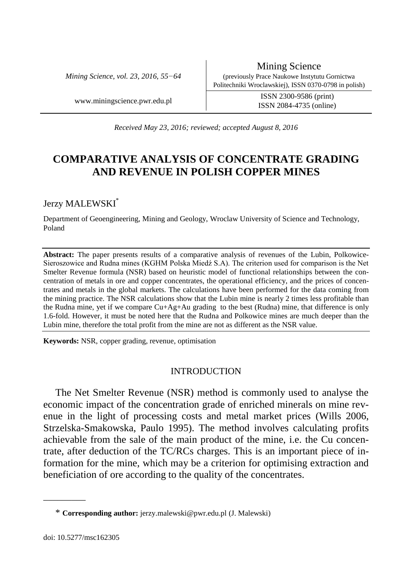*Mining Science, vol. 23, 2016, 55−64*

www.miningscience.pwr.edu.pl ISSN 2300-9586 (print) ISSN 2084-4735 (online)

*Received May 23, 2016; reviewed; accepted August 8, 2016*

# **COMPARATIVE ANALYSIS OF CONCENTRATE GRADING AND REVENUE IN POLISH COPPER MINES**

## Jerzy MALEWSKI\*

Department of Geoengineering, Mining and Geology, Wroclaw University of Science and Technology, Poland

**Abstract:** The paper presents results of a comparative analysis of revenues of the Lubin, Polkowice-Sieroszowice and Rudna mines (KGHM Polska Miedź S.A). The criterion used for comparison is the Net Smelter Revenue formula (NSR) based on heuristic model of functional relationships between the concentration of metals in ore and copper concentrates, the operational efficiency, and the prices of concentrates and metals in the global markets. The calculations have been performed for the data coming from the mining practice. The NSR calculations show that the Lubin mine is nearly 2 times less profitable than the Rudna mine, yet if we compare  $Cu+Ag+Au$  grading to the best (Rudna) mine, that difference is only 1.6-fold. However, it must be noted here that the Rudna and Polkowice mines are much deeper than the Lubin mine, therefore the total profit from the mine are not as different as the NSR value.

**Keywords:** NSR, copper grading, revenue, optimisation

### INTRODUCTION

The Net Smelter Revenue (NSR) method is commonly used to analyse the economic impact of the concentration grade of enriched minerals on mine revenue in the light of processing costs and metal market prices (Wills 2006, Strzelska-Smakowska, Paulo 1995). The method involves calculating profits achievable from the sale of the main product of the mine, i.e. the Cu concentrate, after deduction of the TC/RCs charges. This is an important piece of information for the mine, which may be a criterion for optimising extraction and beneficiation of ore according to the quality of the concentrates.

\_\_\_\_\_\_\_\_\_

<sup>\*</sup> **Corresponding author:** jerzy.malewski@pwr.edu.pl (J. Malewski)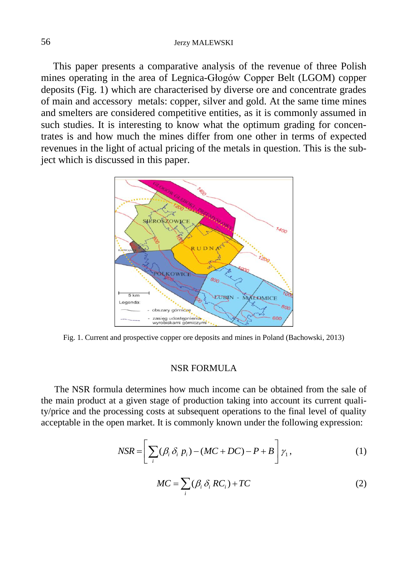#### 56 Jerzy MALEWSKI

This paper presents a comparative analysis of the revenue of three Polish mines operating in the area of Legnica-Głogów Copper Belt (LGOM) copper deposits (Fig. 1) which are characterised by diverse ore and concentrate grades of main and accessory metals: copper, silver and gold. At the same time mines and smelters are considered competitive entities, as it is commonly assumed in such studies. It is interesting to know what the optimum grading for concentrates is and how much the mines differ from one other in terms of expected revenues in the light of actual pricing of the metals in question. This is the subject which is discussed in this paper.



Fig. 1. Current and prospective copper ore deposits and mines in Poland (Bachowski, 2013)

#### NSR FORMULA

The NSR formula determines how much income can be obtained from the sale of the main product at a given stage of production taking into account its current quality/price and the processing costs at subsequent operations to the final level of quality acceptable in the open market. It is commonly known under the following expression:

$$
NSR = \left[\sum_{i} (\beta_i \delta_i p_i) - (MC + DC) - P + B\right] \gamma_1,
$$
\n(1)

$$
MC = \sum_{i} (\beta_i \delta_i RC_i) + TC \tag{2}
$$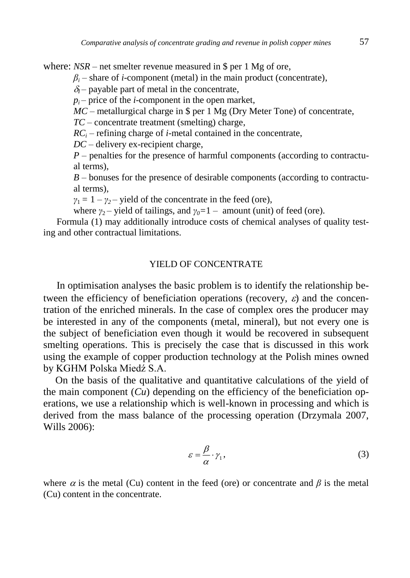where:  $NSR$  – net smelter revenue measured in \$ per 1 Mg of ore,

 $\beta$ <sup>*i*</sup> – share of *i*-component (metal) in the main product (concentrate),

 $\delta$ <sub>*i*</sub> – payable part of metal in the concentrate,

 $p_i$ – price of the *i*-component in the open market,

*MC* – metallurgical charge in \$ per 1 Mg (Dry Meter Tone) of concentrate,

*TC* – concentrate treatment (smelting) charge,

 $RC<sub>i</sub>$  – refining charge of *i*-metal contained in the concentrate,

*DC* – delivery ex-recipient charge,

*P* – penalties for the presence of harmful components (according to contractual terms),

*B* – bonuses for the presence of desirable components (according to contractual terms),

 $\gamma_1 = 1 - \gamma_2$  – yield of the concentrate in the feed (ore),

where  $\gamma_2$  – yield of tailings, and  $\gamma_0$ =1 – amount (unit) of feed (ore).

Formula (1) may additionally introduce costs of chemical analyses of quality testing and other contractual limitations.

#### YIELD OF CONCENTRATE

In optimisation analyses the basic problem is to identify the relationship between the efficiency of beneficiation operations (recovery,  $\varepsilon$ ) and the concentration of the enriched minerals. In the case of complex ores the producer may be interested in any of the components (metal, mineral), but not every one is the subject of beneficiation even though it would be recovered in subsequent smelting operations. This is precisely the case that is discussed in this work using the example of copper production technology at the Polish mines owned by KGHM Polska Miedź S.A.

On the basis of the qualitative and quantitative calculations of the yield of the main component  $(Cu)$  depending on the efficiency of the beneficiation operations, we use a relationship which is well-known in processing and which is derived from the mass balance of the processing operation (Drzymala 2007, Wills 2006):

$$
\varepsilon = \frac{\beta}{\alpha} \cdot \gamma_1,\tag{3}
$$

where  $\alpha$  is the metal (Cu) content in the feed (ore) or concentrate and  $\beta$  is the metal (Cu) content in the concentrate.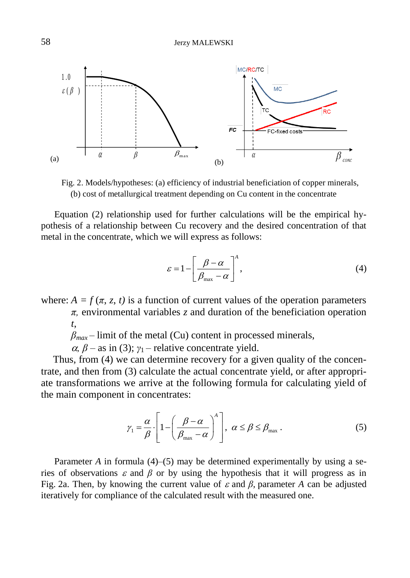

Fig. 2. Models/hypotheses: (a) efficiency of industrial beneficiation of copper minerals, (b) cost of metallurgical treatment depending on Cu content in the concentrate

Equation (2) relationship used for further calculations will be the empirical hypothesis of a relationship between Cu recovery and the desired concentration of that metal in the concentrate, which we will express as follows:

$$
\varepsilon = 1 - \left[ \frac{\beta - \alpha}{\beta_{\text{max}} - \alpha} \right]^A,\tag{4}
$$

where:  $A = f(\pi, z, t)$  is a function of current values of the operation parameters *π,* environmental variables *z* and duration of the beneficiation operation *t*,

 $\beta_{max}$  – limit of the metal (Cu) content in processed minerals,

 $\alpha$ ,  $\beta$  – as in (3);  $\gamma$ <sub>1</sub> – relative concentrate yield.

Thus, from (4) we can determine recovery for a given quality of the concentrate, and then from (3) calculate the actual concentrate yield, or after appropriate transformations we arrive at the following formula for calculating yield of the main component in concentrates:

$$
\gamma_1 = \frac{\alpha}{\beta} \cdot \left[ 1 - \left( \frac{\beta - \alpha}{\beta_{\text{max}} - \alpha} \right)^{\alpha} \right], \ \alpha \le \beta \le \beta_{\text{max}} \,. \tag{5}
$$

Parameter *A* in formula (4)–(5) may be determined experimentally by using a series of observations  $\varepsilon$  and  $\beta$  or by using the hypothesis that it will progress as in Fig. 2a. Then, by knowing the current value of  $\varepsilon$  and  $\beta$ , parameter *A* can be adjusted iteratively for compliance of the calculated result with the measured one.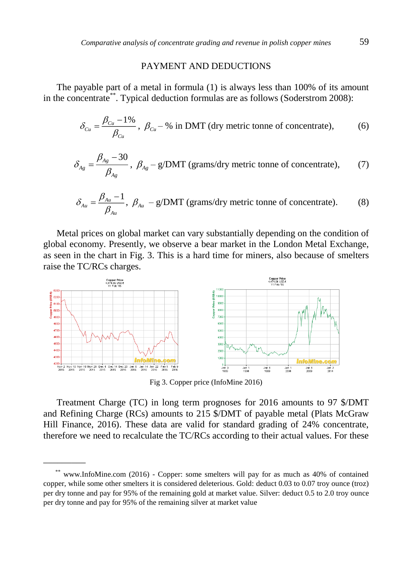#### PAYMENT AND DEDUCTIONS

The payable part of a metal in formula (1) is always less than 100% of its amount in the concentrate\*\*. Typical deduction formulas are as follows (Soderstrom 2008):

$$
\delta_{\text{Cu}} = \frac{\beta_{\text{Cu}} - 1\%}{\beta_{\text{Cu}}}, \ \beta_{\text{Cu}} - \% \text{ in DMT (dry metric tonne of concentrate)}, \tag{6}
$$

$$
\delta_{A_g} = \frac{\beta_{A_g} - 30}{\beta_{A_g}}, \ \beta_{A_g} - g/DMT \ (grams/dry \ metric \ to \ no \ of \ concentrate), \tag{7}
$$

$$
\delta_{Au} = \frac{\beta_{Au} - 1}{\beta_{Au}}, \ \beta_{Au} - g/DMT \ (grams/dry \ metric \ to
$$

Metal prices on global market can vary substantially depending on the condition of global economy. Presently, we observe a bear market in the London Metal Exchange, as seen in the chart in Fig. 3. This is a hard time for miners, also because of smelters raise the TC/RCs charges.



Fig 3. Copper price (InfoMine 2016)

Treatment Charge (TC) in long term prognoses for 2016 amounts to 97 \$/DMT and Refining Charge (RCs) amounts to 215 \$/DMT of payable metal (Plats McGraw Hill Finance, 2016). These data are valid for standard grading of 24% concentrate, therefore we need to recalculate the TC/RCs according to their actual values. For these

\_\_\_\_\_\_\_\_\_

<sup>\*\*</sup> www.InfoMine.com (2016) - Copper: some smelters will pay for as much as 40% of contained copper, while some other smelters it is considered deleterious. Gold: deduct 0.03 to 0.07 troy ounce (troz) per dry tonne and pay for 95% of the remaining gold at market value. Silver: deduct 0.5 to 2.0 troy ounce per dry tonne and pay for 95% of the remaining silver at market value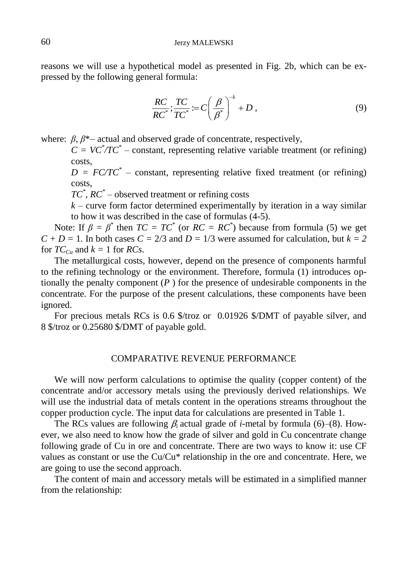reasons we will use a hypothetical model as presented in Fig. 2b, which can be expressed by the following general formula:

$$
\frac{RC}{RC^*}; \frac{TC}{TC^*} := C\left(\frac{\beta}{\beta^*}\right)^{-k} + D\,,\tag{9}
$$

where:  $\beta$ ,  $\beta^*$  actual and observed grade of concentrate, respectively,

 $C = VC^* / TC^* - constant$ , representing relative variable treatment (or refining) costs,

 $D = FC/TC^*$  – constant, representing relative fixed treatment (or refining) costs,

*TC\** , *RC\** – observed treatment or refining costs

 $k$  – curve form factor determined experimentally by iteration in a way similar to how it was described in the case of formulas (4-5).

Note: If  $\beta = \beta^*$  then  $TC = TC^*$  (or  $RC = RC^*$ ) because from formula (5) we get  $C + D = 1$ . In both cases  $C = 2/3$  and  $D = 1/3$  were assumed for calculation, but  $k = 2$ for  $TC_{C_u}$  and  $k = 1$  for *RCs*.

The metallurgical costs, however, depend on the presence of components harmful to the refining technology or the environment. Therefore, formula (1) introduces optionally the penalty component (*P* ) for the presence of undesirable components in the concentrate. For the purpose of the present calculations, these components have been ignored.

For precious metals RCs is 0.6 \$/troz or 0.01926 \$/DMT of payable silver, and 8 \$/troz or 0.25680 \$/DMT of payable gold.

### COMPARATIVE REVENUE PERFORMANCE

We will now perform calculations to optimise the quality (copper content) of the concentrate and/or accessory metals using the previously derived relationships. We will use the industrial data of metals content in the operations streams throughout the copper production cycle. The input data for calculations are presented in Table 1.

The RCs values are following  $\beta_i$  actual grade of *i*-metal by formula (6)–(8). However, we also need to know how the grade of silver and gold in Cu concentrate change following grade of Cu in ore and concentrate. There are two ways to know it: use CF values as constant or use the Cu/Cu\* relationship in the ore and concentrate. Here, we are going to use the second approach.

The content of main and accessory metals will be estimated in a simplified manner from the relationship: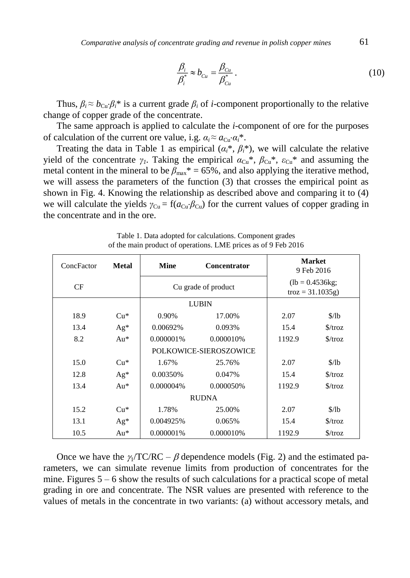*Comparative analysis of concentrate grading and revenue in polish copper mines* 61

$$
\frac{\beta_i}{\beta_i^*} \approx b_{Cu} = \frac{\beta_{Cu}}{\beta_{Cu}^*} \,. \tag{10}
$$

Thus,  $\beta_i \approx b_{\text{Cu}} \cdot \beta_i^*$  is a current grade  $\beta_i$  of *i*-component proportionally to the relative change of copper grade of the concentrate.

The same approach is applied to calculate the *i*-component of ore for the purposes of calculation of the current ore value, i.g.  $\alpha_i \approx a_{\text{Cu}} \cdot \alpha_i^*$ .

Treating the data in Table 1 as empirical  $(a_i^*, \beta_i^*)$ , we will calculate the relative yield of the concentrate  $\gamma$ <sup>*I*</sup>. Taking the empirical  $\alpha_{Cu}^*$ ,  $\beta_{Cu}^*$ ,  $\varepsilon_{Cu}^*$  and assuming the metal content in the mineral to be  $\beta_{\text{max}}^* = 65\%$ , and also applying the iterative method, we will assess the parameters of the function (3) that crosses the empirical point as shown in Fig. 4. Knowing the relationship as described above and comparing it to (4) we will calculate the yields  $\gamma_{Cu} = f(a_{Cu} \cdot \beta_{Cu})$  for the current values of copper grading in the concentrate and in the ore.

| ConcFactor             | <b>Metal</b> | <b>Mine</b>         | <b>Concentrator</b> |                                                         | <b>Market</b><br>9 Feb 2016 |  |
|------------------------|--------------|---------------------|---------------------|---------------------------------------------------------|-----------------------------|--|
| CF                     |              | Cu grade of product |                     | $(lb = 0.4536kg)$ ;<br>$\text{troz} = 31.1035 \text{g}$ |                             |  |
|                        |              |                     | <b>LUBIN</b>        |                                                         |                             |  |
| 18.9                   | $Cu*$        | 0.90%               | 17.00%              | 2.07                                                    | $\frac{\delta}{\delta}$     |  |
| 13.4                   | $Ag*$        | 0.00692%            | 0.093%              | 15.4                                                    | $\frac{\sqrt{2}}{2}$        |  |
| 8.2                    | $Au*$        | 0.000001%           | 0.000010%           | 1192.9                                                  | $\frac{\sqrt{2}}{2}$        |  |
| POLKOWICE-SIEROSZOWICE |              |                     |                     |                                                         |                             |  |
| 15.0                   | $Cu*$        | 1.67%               | 25.76%              | 2.07                                                    | \$/lb                       |  |
| 12.8                   | $Ag*$        | 0.00350%            | 0.047%              | 15.4                                                    | $\frac{\sqrt{2}}{2}$        |  |
| 13.4                   | $Au*$        | 0.000004%           | 0.000050%           | 1192.9                                                  | $\frac{\sqrt{2}}{2}$        |  |
|                        |              | <b>RUDNA</b>        |                     |                                                         |                             |  |
| 15.2                   | $Cu*$        | 1.78%               | 25.00%              | 2.07                                                    | \$/lb                       |  |
| 13.1                   | $Ag*$        | 0.004925%           | 0.065%              | 15.4                                                    | $\frac{\sqrt{2}}{2}$        |  |
| 10.5                   | $Au*$        | 0.000001%           | 0.000010%           | 1192.9                                                  | $\frac{\sqrt{2}}{2}$        |  |

Table 1. Data adopted for calculations. Component grades of the main product of operations. LME prices as of 9 Feb 2016

Once we have the  $\gamma_1/TC/RC - \beta$  dependence models (Fig. 2) and the estimated parameters, we can simulate revenue limits from production of concentrates for the mine. Figures  $5 - 6$  show the results of such calculations for a practical scope of metal grading in ore and concentrate. The NSR values are presented with reference to the values of metals in the concentrate in two variants: (a) without accessory metals, and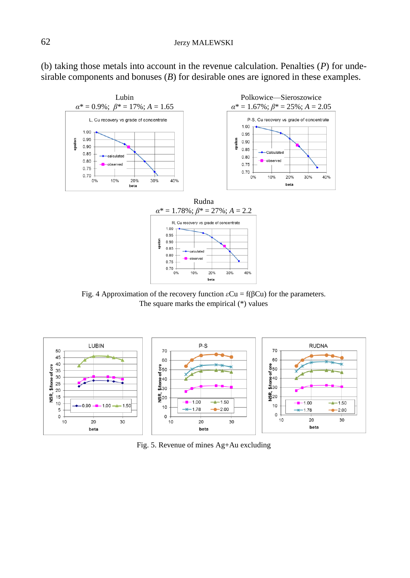(b) taking those metals into account in the revenue calculation. Penalties (*P*) for undesirable components and bonuses (*B*) for desirable ones are ignored in these examples.



Fig. 4 Approximation of the recovery function  $\epsilon$ Cu = f( $\beta$ Cu) for the parameters. The square marks the empirical (\*) values



Fig. 5. Revenue of mines Ag+Au excluding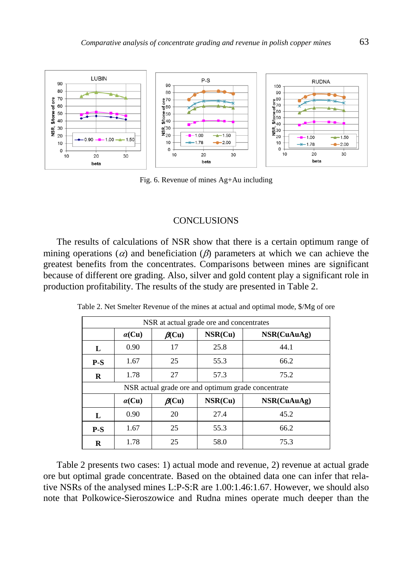

Fig. 6. Revenue of mines Ag+Au including

#### **CONCLUSIONS**

The results of calculations of NSR show that there is a certain optimum range of mining operations ( $\alpha$ ) and beneficiation ( $\beta$ ) parameters at which we can achieve the greatest benefits from the concentrates. Comparisons between mines are significant because of different ore grading. Also, silver and gold content play a significant role in production profitability. The results of the study are presented in Table 2.

| NSR at actual grade ore and concentrates           |               |              |         |             |  |  |  |
|----------------------------------------------------|---------------|--------------|---------|-------------|--|--|--|
|                                                    | $\alpha$ (Cu) | $\beta$ (Cu) | NSR(Cu) | NSR(CuAuAg) |  |  |  |
| L                                                  | 0.90          | 17           | 25.8    | 44.1        |  |  |  |
| $P-S$                                              | 1.67          | 25           | 55.3    | 66.2        |  |  |  |
| R                                                  | 1.78          | 27           | 57.3    | 75.2        |  |  |  |
| NSR actual grade ore and optimum grade concentrate |               |              |         |             |  |  |  |
|                                                    | $\alpha$ (Cu) | $\beta$ (Cu) | NSR(Cu) | NSR(CuAuAg) |  |  |  |
| L                                                  | 0.90          | 20           | 27.4    | 45.2        |  |  |  |
| $P-S$                                              | 1.67          | 25           | 55.3    | 66.2        |  |  |  |
| R                                                  | 1.78          | 25           | 58.0    | 75.3        |  |  |  |

Table 2. Net Smelter Revenue of the mines at actual and optimal mode, \$/Mg of ore

Table 2 presents two cases: 1) actual mode and revenue, 2) revenue at actual grade ore but optimal grade concentrate. Based on the obtained data one can infer that relative NSRs of the analysed mines L:P-S:R are 1.00:1.46:1.67. However, we should also note that Polkowice-Sieroszowice and Rudna mines operate much deeper than the